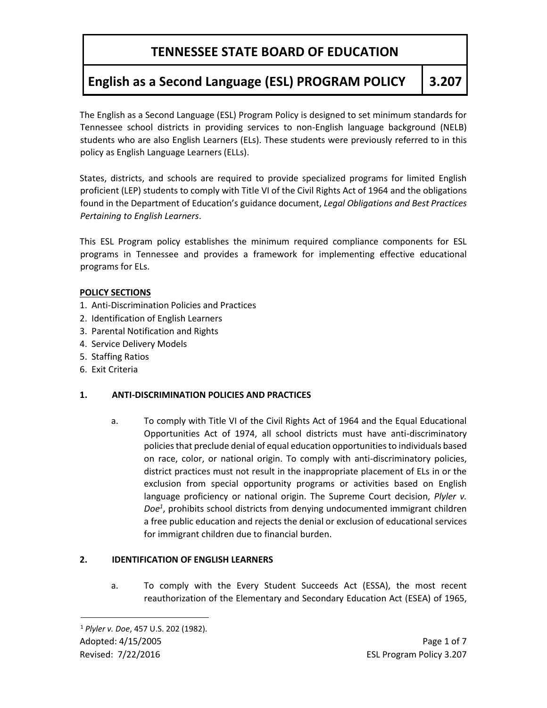# **English as a Second Language (ESL) PROGRAM POLICY 3.207**

The English as a Second Language (ESL) Program Policy is designed to set minimum standards for Tennessee school districts in providing services to non-English language background (NELB) students who are also English Learners (ELs). These students were previously referred to in this policy as English Language Learners (ELLs).

States, districts, and schools are required to provide specialized programs for limited English proficient (LEP) students to comply with Title VI of the Civil Rights Act of 1964 and the obligations found in the Department of Education's guidance document, *Legal Obligations and Best Practices Pertaining to English Learners*.

This ESL Program policy establishes the minimum required compliance components for ESL programs in Tennessee and provides a framework for implementing effective educational programs for ELs.

#### **POLICY SECTIONS**

- 1. Anti-Discrimination Policies and Practices
- 2. Identification of English Learners
- 3. Parental Notification and Rights
- 4. Service Delivery Models
- 5. Staffing Ratios
- 6. Exit Criteria

#### **1. ANTI-DISCRIMINATION POLICIES AND PRACTICES**

a. To comply with Title VI of the Civil Rights Act of 1964 and the Equal Educational Opportunities Act of 1974, all school districts must have anti-discriminatory policies that preclude denial of equal education opportunities to individuals based on race, color, or national origin. To comply with anti-discriminatory policies, district practices must not result in the inappropriate placement of ELs in or the exclusion from special opportunity programs or activities based on English language proficiency or national origin. The Supreme Court decision, *Plyler v. Doe<sup>1</sup>* , prohibits school districts from denying undocumented immigrant children a free public education and rejects the denial or exclusion of educational services for immigrant children due to financial burden.

#### **2. IDENTIFICATION OF ENGLISH LEARNERS**

a. To comply with the Every Student Succeeds Act (ESSA), the most recent reauthorization of the Elementary and Secondary Education Act (ESEA) of 1965,

l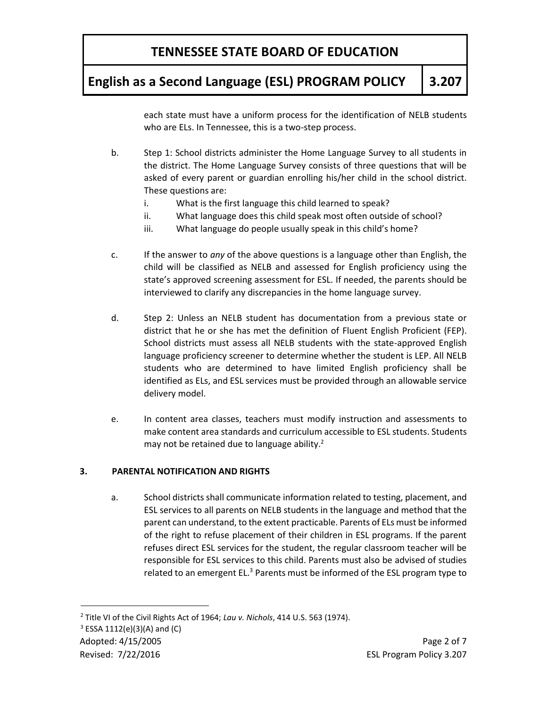## **English as a Second Language (ESL) PROGRAM POLICY 3.207**

each state must have a uniform process for the identification of NELB students who are ELs. In Tennessee, this is a two-step process.

- b. Step 1: School districts administer the Home Language Survey to all students in the district. The Home Language Survey consists of three questions that will be asked of every parent or guardian enrolling his/her child in the school district. These questions are:
	- i. What is the first language this child learned to speak?
	- ii. What language does this child speak most often outside of school?
	- iii. What language do people usually speak in this child's home?
- c. If the answer to *any* of the above questions is a language other than English, the child will be classified as NELB and assessed for English proficiency using the state's approved screening assessment for ESL. If needed, the parents should be interviewed to clarify any discrepancies in the home language survey.
- d. Step 2: Unless an NELB student has documentation from a previous state or district that he or she has met the definition of Fluent English Proficient (FEP). School districts must assess all NELB students with the state-approved English language proficiency screener to determine whether the student is LEP. All NELB students who are determined to have limited English proficiency shall be identified as ELs, and ESL services must be provided through an allowable service delivery model.
- e. In content area classes, teachers must modify instruction and assessments to make content area standards and curriculum accessible to ESL students. Students may not be retained due to language ability.<sup>2</sup>

#### **3. PARENTAL NOTIFICATION AND RIGHTS**

a. School districts shall communicate information related to testing, placement, and ESL services to all parents on NELB students in the language and method that the parent can understand, to the extent practicable. Parents of ELs must be informed of the right to refuse placement of their children in ESL programs. If the parent refuses direct ESL services for the student, the regular classroom teacher will be responsible for ESL services to this child. Parents must also be advised of studies related to an emergent EL.<sup>3</sup> Parents must be informed of the ESL program type to

 $\overline{a}$ 

<sup>2</sup> Title VI of the Civil Rights Act of 1964; *Lau v. Nichols*, 414 U.S. 563 (1974).

 $3$  ESSA 1112(e)(3)(A) and (C)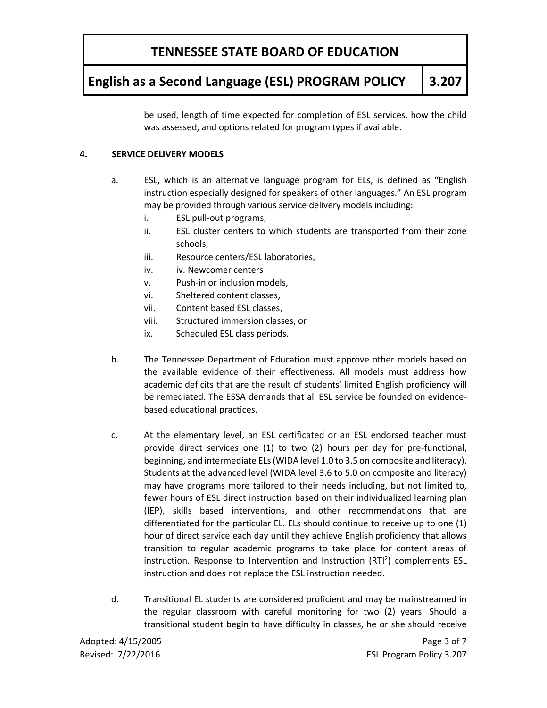## **English as a Second Language (ESL) PROGRAM POLICY 3.207**

be used, length of time expected for completion of ESL services, how the child was assessed, and options related for program types if available.

#### **4. SERVICE DELIVERY MODELS**

- a. ESL, which is an alternative language program for ELs, is defined as "English instruction especially designed for speakers of other languages." An ESL program may be provided through various service delivery models including:
	- i. ESL pull-out programs,
	- ii. ESL cluster centers to which students are transported from their zone schools,
	- iii. Resource centers/ESL laboratories,
	- iv. iv. Newcomer centers
	- v. Push-in or inclusion models,
	- vi. Sheltered content classes,
	- vii. Content based ESL classes,
	- viii. Structured immersion classes, or
	- ix. Scheduled ESL class periods.
- b. The Tennessee Department of Education must approve other models based on the available evidence of their effectiveness. All models must address how academic deficits that are the result of students' limited English proficiency will be remediated. The ESSA demands that all ESL service be founded on evidencebased educational practices.
- c. At the elementary level, an ESL certificated or an ESL endorsed teacher must provide direct services one (1) to two (2) hours per day for pre-functional, beginning, and intermediate ELs (WIDA level 1.0 to 3.5 on composite and literacy). Students at the advanced level (WIDA level 3.6 to 5.0 on composite and literacy) may have programs more tailored to their needs including, but not limited to, fewer hours of ESL direct instruction based on their individualized learning plan (IEP), skills based interventions, and other recommendations that are differentiated for the particular EL. ELs should continue to receive up to one (1) hour of direct service each day until they achieve English proficiency that allows transition to regular academic programs to take place for content areas of instruction. Response to Intervention and Instruction  $(RTI<sup>2</sup>)$  complements ESL instruction and does not replace the ESL instruction needed.
- d. Transitional EL students are considered proficient and may be mainstreamed in the regular classroom with careful monitoring for two (2) years. Should a transitional student begin to have difficulty in classes, he or she should receive

Adopted: 4/15/2005 **Page 3 of 7** 

Revised: 7/22/2016 **ESL Program Policy 3.207**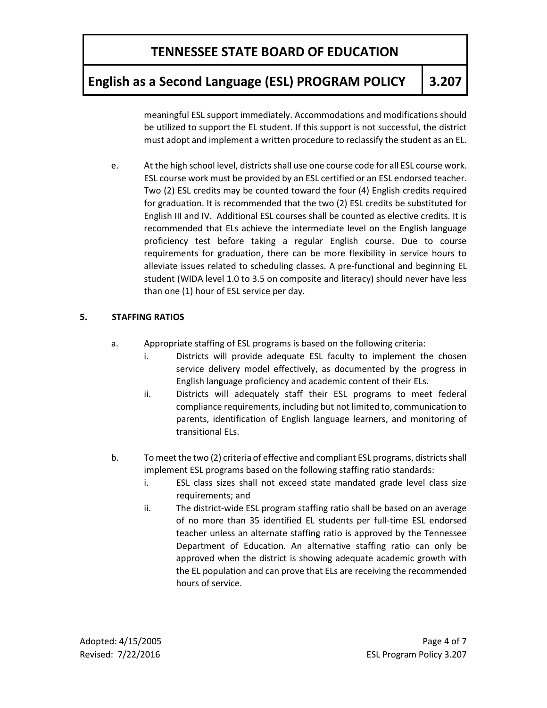## **English as a Second Language (ESL) PROGRAM POLICY 3.207**

meaningful ESL support immediately. Accommodations and modifications should be utilized to support the EL student. If this support is not successful, the district must adopt and implement a written procedure to reclassify the student as an EL.

e. At the high school level, districts shall use one course code for all ESL course work. ESL course work must be provided by an ESL certified or an ESL endorsed teacher. Two (2) ESL credits may be counted toward the four (4) English credits required for graduation. It is recommended that the two (2) ESL credits be substituted for English III and IV. Additional ESL courses shall be counted as elective credits. It is recommended that ELs achieve the intermediate level on the English language proficiency test before taking a regular English course. Due to course requirements for graduation, there can be more flexibility in service hours to alleviate issues related to scheduling classes. A pre-functional and beginning EL student (WIDA level 1.0 to 3.5 on composite and literacy) should never have less than one (1) hour of ESL service per day.

#### **5. STAFFING RATIOS**

- a. Appropriate staffing of ESL programs is based on the following criteria:
	- i. Districts will provide adequate ESL faculty to implement the chosen service delivery model effectively, as documented by the progress in English language proficiency and academic content of their ELs.
	- ii. Districts will adequately staff their ESL programs to meet federal compliance requirements, including but not limited to, communication to parents, identification of English language learners, and monitoring of transitional ELs.
- b. To meet the two (2) criteria of effective and compliant ESL programs, districts shall implement ESL programs based on the following staffing ratio standards:
	- i. ESL class sizes shall not exceed state mandated grade level class size requirements; and
	- ii. The district-wide ESL program staffing ratio shall be based on an average of no more than 35 identified EL students per full-time ESL endorsed teacher unless an alternate staffing ratio is approved by the Tennessee Department of Education. An alternative staffing ratio can only be approved when the district is showing adequate academic growth with the EL population and can prove that ELs are receiving the recommended hours of service.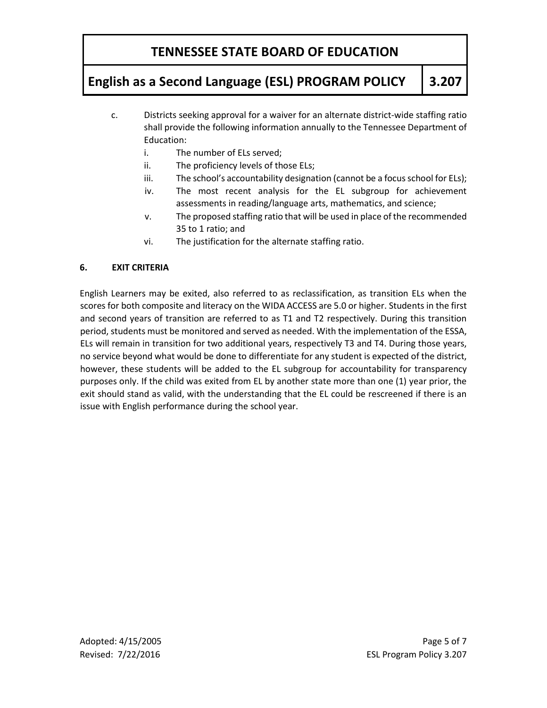# **English as a Second Language (ESL) PROGRAM POLICY 3.207**

- c. Districts seeking approval for a waiver for an alternate district-wide staffing ratio shall provide the following information annually to the Tennessee Department of Education:
	- i. The number of ELs served;
	- ii. The proficiency levels of those ELs;
	- iii. The school's accountability designation (cannot be a focus school for ELs);
	- iv. The most recent analysis for the EL subgroup for achievement assessments in reading/language arts, mathematics, and science;
	- v. The proposed staffing ratio that will be used in place of the recommended 35 to 1 ratio; and
	- vi. The justification for the alternate staffing ratio.

#### **6. EXIT CRITERIA**

English Learners may be exited, also referred to as reclassification, as transition ELs when the scores for both composite and literacy on the WIDA ACCESS are 5.0 or higher. Students in the first and second years of transition are referred to as T1 and T2 respectively. During this transition period, students must be monitored and served as needed. With the implementation of the ESSA, ELs will remain in transition for two additional years, respectively T3 and T4. During those years, no service beyond what would be done to differentiate for any student is expected of the district, however, these students will be added to the EL subgroup for accountability for transparency purposes only. If the child was exited from EL by another state more than one (1) year prior, the exit should stand as valid, with the understanding that the EL could be rescreened if there is an issue with English performance during the school year.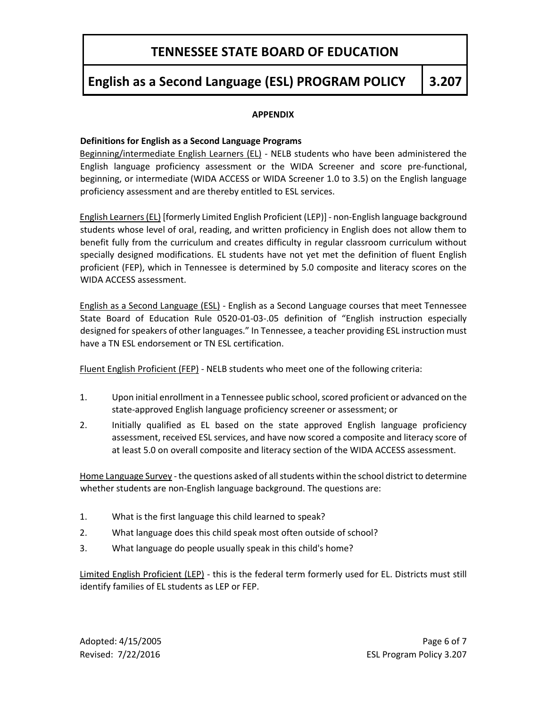## **English as a Second Language (ESL) PROGRAM POLICY 3.207**

#### **APPENDIX**

#### **Definitions for English as a Second Language Programs**

Beginning/intermediate English Learners (EL) - NELB students who have been administered the English language proficiency assessment or the WIDA Screener and score pre-functional, beginning, or intermediate (WIDA ACCESS or WIDA Screener 1.0 to 3.5) on the English language proficiency assessment and are thereby entitled to ESL services.

English Learners (EL) [formerly Limited English Proficient (LEP)] - non-English language background students whose level of oral, reading, and written proficiency in English does not allow them to benefit fully from the curriculum and creates difficulty in regular classroom curriculum without specially designed modifications. EL students have not yet met the definition of fluent English proficient (FEP), which in Tennessee is determined by 5.0 composite and literacy scores on the WIDA ACCESS assessment.

English as a Second Language (ESL) - English as a Second Language courses that meet Tennessee State Board of Education Rule 0520-01-03-.05 definition of "English instruction especially designed for speakers of other languages." In Tennessee, a teacher providing ESL instruction must have a TN ESL endorsement or TN ESL certification.

Fluent English Proficient (FEP) - NELB students who meet one of the following criteria:

- 1. Upon initial enrollment in a Tennessee public school, scored proficient or advanced on the state-approved English language proficiency screener or assessment; or
- 2. Initially qualified as EL based on the state approved English language proficiency assessment, received ESL services, and have now scored a composite and literacy score of at least 5.0 on overall composite and literacy section of the WIDA ACCESS assessment.

Home Language Survey - the questions asked of all students within the school district to determine whether students are non-English language background. The questions are:

- 1. What is the first language this child learned to speak?
- 2. What language does this child speak most often outside of school?
- 3. What language do people usually speak in this child's home?

Limited English Proficient (LEP) - this is the federal term formerly used for EL. Districts must still identify families of EL students as LEP or FEP.